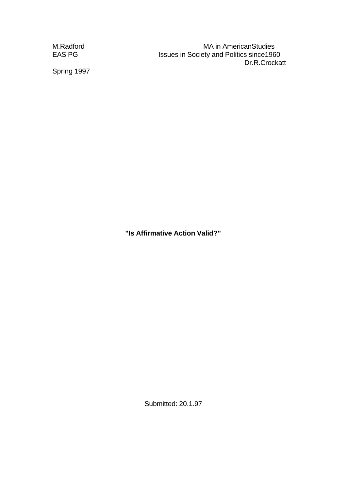M.Radford MA in AmericanStudies EAS PG **ISSUES** Issues in Society and Politics since 1960 Dr.R.Crockatt

Spring 1997

**"Is Affirmative Action Valid?"**

Submitted: 20.1.97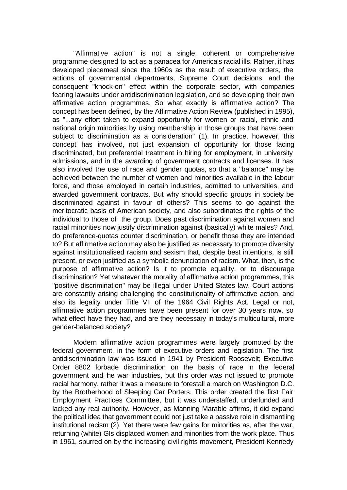"Affirmative action" is not a single, coherent or comprehensive programme designed to act as a panacea for America's racial ills. Rather, it has developed piecemeal since the 1960s as the result of executive orders, the actions of governmental departments, Supreme Court decisions, and the consequent "knock-on" effect within the corporate sector, with companies fearing lawsuits under antidiscrimination legislation, and so developing their own affirmative action programmes. So what exactly is affirmative action? The concept has been defined, by the Affirmative Action Review (published in 1995), as "...any effort taken to expand opportunity for women or racial, ethnic and national origin minorities by using membership in those groups that have been subject to discrimination as a consideration" (1). In practice, however, this concept has involved, not just expansion of opportunity for those facing discriminated, but preferential treatment in hiring for employment, in university admissions, and in the awarding of government contracts and licenses. It has also involved the use of race and gender quotas, so that a "balance" may be achieved between the number of women and minorities available in the labour force, and those employed in certain industries, admitted to universities, and awarded government contracts. But why should specific groups in society be discriminated against in favour of others? This seems to go against the meritocratic basis of American society, and also subordinates the rights of the individual to those of the group. Does past discrimination against women and racial minorities now justify discrimination against (basically) white males? And, do preference-quotas counter discrimination, or benefit those they are intended to? But affirmative action may also be justified as necessary to promote diversity against institutionalised racism and sexism that, despite best intentions, is still present, or even justified as a symbolic denunciation of racism. What, then, is the purpose of affirmative action? Is it to promote equality, or to discourage discrimination? Yet whatever the morality of affirmative action programmes, this "positive discrimination" may be illegal under United States law. Court actions are constantly arising challenging the constitutionality of affirmative action, and also its legality under Title VII of the 1964 Civil Rights Act. Legal or not. affirmative action programmes have been present for over 30 years now, so what effect have they had, and are they necessary in today's multicultural, more gender-balanced society?

Modern affirmative action programmes were largely promoted by the federal government, in the form of executive orders and legislation. The first antidiscrimination law was issued in 1941 by President Roosevelt; Executive Order 8802 forbade discrimination on the basis of race in the federal government and the war industries, but this order was not issued to promote racial harmony, rather it was a measure to forestall a march on Washington D.C. by the Brotherhood of Sleeping Car Porters. This order created the first Fair Employment Practices Committee, but it was understaffed, underfunded and lacked any real authority. However, as Manning Marable affirms, it did expand the political idea that government could not just take a passive role in dismantling institutional racism (2). Yet there were few gains for minorities as, after the war, returning (white) GIs displaced women and minorities from the work place. Thus in 1961, spurred on by the increasing civil rights movement, President Kennedy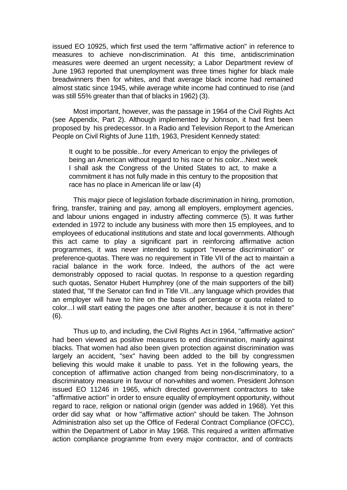issued EO 10925, which first used the term "affirmative action" in reference to measures to achieve non-discrimination. At this time, antidiscrimination measures were deemed an urgent necessity; a Labor Department review of June 1963 reported that unemployment was three times higher for black male breadwinners then for whites, and that average black income had remained almost static since 1945, while average white income had continued to rise (and was still 55% greater than that of blacks in 1962) (3).

Most important, however, was the passage in 1964 of the Civil Rights Act (see Appendix, Part 2). Although implemented by Johnson, it had first been proposed by his predecessor. In a Radio and Television Report to the American People on Civil Rights of June 11th, 1963, President Kennedy stated:

It ought to be possible...for every American to enjoy the privileges of being an American without regard to his race or his color...Next week I shall ask the Congress of the United States to act, to make a commitment it has not fully made in this century to the proposition that race has no place in American life or law (4)

This major piece of legislation forbade discrimination in hiring, promotion, firing, transfer, training and pay, among all employers, employment agencies, and labour unions engaged in industry affecting commerce (5). It was further extended in 1972 to include any business with more then 15 employees, and to employees of educational institutions and state and local governments. Although this act came to play a significant part in reinforcing affirmative action programmes, it was never intended to support "reverse discrimination" or preference-quotas. There was no requirement in Title VII of the act to maintain a racial balance in the work force. Indeed, the authors of the act were demonstrably opposed to racial quotas. In response to a question regarding such quotas, Senator Hubert Humphrey (one of the main supporters of the bill) stated that, "If the Senator can find in Title VII...any language which provides that an employer will have to hire on the basis of percentage or quota related to color...I will start eating the pages one after another, because it is not in there" (6).

Thus up to, and including, the Civil Rights Act in 1964, "affirmative action" had been viewed as positive measures to end discrimination, mainly against blacks. That women had also been given protection against discrimination was largely an accident, "sex" having been added to the bill by congressmen believing this would make it unable to pass. Yet in the following years, the conception of affirmative action changed from being non-discriminatory, to a discriminatory measure in favour of non-whites and women. President Johnson issued EO 11246 in 1965, which directed government contractors to take "affirmative action" in order to ensure equality of employment opportunity, without regard to race, religion or national origin (gender was added in 1968). Yet this order did say what or how "affirmative action" should be taken. The Johnson Administration also set up the Office of Federal Contract Compliance (OFCC), within the Department of Labor in May 1968. This required a written affirmative action compliance programme from every major contractor, and of contracts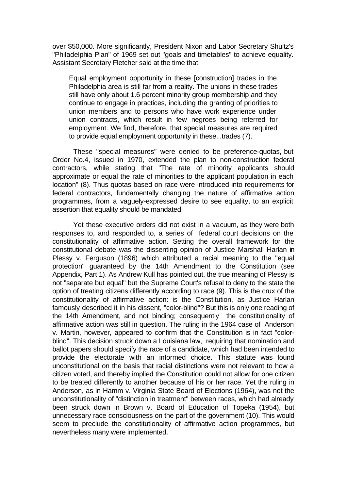over \$50,000. More significantly, President Nixon and Labor Secretary Shultz's "Philadelphia Plan" of 1969 set out "goals and timetables" to achieve equality. Assistant Secretary Fletcher said at the time that:

Equal employment opportunity in these [construction] trades in the Philadelphia area is still far from a reality. The unions in these trades still have only about 1.6 percent minority group membership and they continue to engage in practices, including the granting of priorities to union members and to persons who have work experience under union contracts, which result in few negroes being referred for employment. We find, therefore, that special measures are required to provide equal employment opportunity in these...trades (7).

These "special measures" were denied to be preference-quotas, but Order No.4, issued in 1970, extended the plan to non-construction federal contractors, while stating that "The rate of minority applicants should approximate or equal the rate of minorities to the applicant population in each location" (8). Thus quotas based on race were introduced into requirements for federal contractors, fundamentally changing the nature of affirmative action programmes, from a vaguely-expressed desire to see equality, to an explicit assertion that equality should be mandated.

Yet these executive orders did not exist in a vacuum, as they were both responses to, and responded to, a series of federal court decisions on the constitutionality of affirmative action. Setting the overall framework for the constitutional debate was the dissenting opinion of Justice Marshall Harlan in Plessy v. Ferguson (1896) which attributed a racial meaning to the "equal protection" guaranteed by the 14th Amendment to the Constitution (see Appendix, Part 1). As Andrew Kull has pointed out, the true meaning of Plessy is not "separate but equal" but the Supreme Court's refusal to deny to the state the option of treating citizens differently according to race (9). This is the crux of the constitutionality of affirmative action: is the Constitution, as Justice Harlan famously described it in his dissent, "color-blind"? But this is only one reading of the 14th Amendment, and not binding; consequently the constitutionality of affirmative action was still in question. The ruling in the 1964 case of Anderson v. Martin, however, appeared to confirm that the Constitution is in fact "colorblind". This decision struck down a Louisiana law, requiring that nomination and ballot papers should specify the race of a candidate, which had been intended to provide the electorate with an informed choice. This statute was found unconstitutional on the basis that racial distinctions were not relevant to how a citizen voted, and thereby implied the Constitution could not allow for one citizen to be treated differently to another because of his or her race. Yet the ruling in Anderson, as in Hamm v. Virginia State Board of Elections (1964), was not the unconstitutionality of "distinction in treatment" between races, which had already been struck down in Brown v. Board of Education of Topeka (1954), but unnecessary race consciousness on the part of the government (10). This would seem to preclude the constitutionality of affirmative action programmes, but nevertheless many were implemented.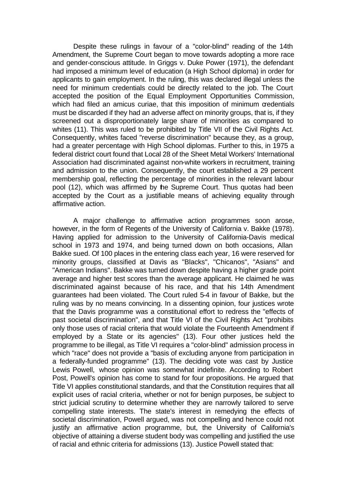Despite these rulings in favour of a "color-blind" reading of the 14th Amendment, the Supreme Court began to move towards adopting a more race and gender-conscious attitude. In Griggs v. Duke Power (1971), the defendant had imposed a minimum level of education (a High School diploma) in order for applicants to gain employment. In the ruling, this was declared illegal unless the need for minimum credentials could be directly related to the job. The Court accepted the position of the Equal Employment Opportunities Commission, which had filed an amicus curiae, that this imposition of minimum credentials must be discarded if they had an adverse affect on minority groups, that is, if they screened out a disproportionately large share of minorities as compared to whites (11). This was ruled to be prohibited by Title VII of the Civil Rights Act. Consequently, whites faced "reverse discrimination" because they, as a group, had a greater percentage with High School diplomas. Further to this, in 1975 a federal district court found that Local 28 of the Sheet Metal Workers' International Association had discriminated against non-white workers in recruitment, training and admission to the union. Consequently, the court established a 29 percent membership goal, reflecting the percentage of minorities in the relevant labour pool (12), which was affirmed by the Supreme Court. Thus quotas had been accepted by the Court as a justifiable means of achieving equality through affirmative action.

A major challenge to affirmative action programmes soon arose, however, in the form of Regents of the University of California v. Bakke (1978). Having applied for admission to the University of California-Davis medical school in 1973 and 1974, and being turned down on both occasions, Allan Bakke sued. Of 100 places in the entering class each year, 16 were reserved for minority groups, classified at Davis as "Blacks", "Chicanos", "Asians" and "American Indians". Bakke was turned down despite having a higher grade point average and higher test scores than the average applicant. He claimed he was discriminated against because of his race, and that his 14th Amendment guarantees had been violated. The Court ruled 5-4 in favour of Bakke, but the ruling was by no means convincing. In a dissenting opinion, four justices wrote that the Davis programme was a constitutional effort to redress the "effects of past societal discrimination", and that Title VI of the Civil Rights Act "prohibits only those uses of racial criteria that would violate the Fourteenth Amendment if employed by a State or its agencies" (13). Four other justices held the programme to be illegal, as Title VI requires a "color-blind" admission process in which "race" does not provide a "basis of excluding anyone from participation in a federally-funded programme" (13). The deciding vote was cast by Justice Lewis Powell, whose opinion was somewhat indefinite. According to Robert Post, Powell's opinion has come to stand for four propositions. He argued that Title VI applies constitutional standards, and that the Constitution requires that all explicit uses of racial criteria, whether or not for benign purposes, be subject to strict judicial scrutiny to determine whether they are narrowly tailored to serve compelling state interests. The state's interest in remedying the effects of societal discrimination, Powell argued, was not compelling and hence could not justify an affirmative action programme, but, the University of California's objective of attaining a diverse student body was compelling and justified the use of racial and ethnic criteria for admissions (13). Justice Powell stated that: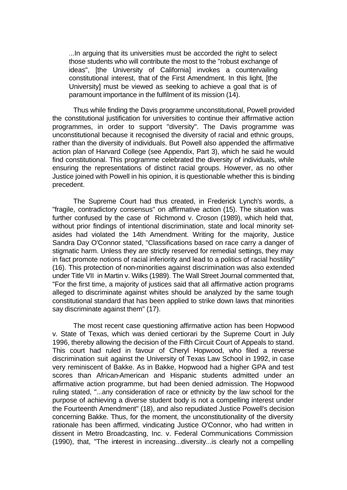...In arguing that its universities must be accorded the right to select those students who will contribute the most to the "robust exchange of ideas", [the University of California] invokes a countervailing constitutional interest, that of the First Amendment. In this light, [the University] must be viewed as seeking to achieve a goal that is of paramount importance in the fulfilment of its mission (14).

Thus while finding the Davis programme unconstitutional, Powell provided the constitutional justification for universities to continue their affirmative action programmes, in order to support "diversity". The Davis programme was unconstitutional because it recognised the diversity of racial and ethnic groups, rather than the diversity of individuals. But Powell also appended the affirmative action plan of Harvard College (see Appendix, Part 3), which he said he would find constitutional. This programme celebrated the diversity of individuals, while ensuring the representations of distinct racial groups. However, as no other Justice joined with Powell in his opinion, it is questionable whether this is binding precedent.

The Supreme Court had thus created, in Frederick Lynch's words, a "fragile, contradictory consensus" on affirmative action (15). The situation was further confused by the case of Richmond v. Croson (1989), which held that, without prior findings of intentional discrimination, state and local minority setasides had violated the 14th Amendment. Writing for the majority, Justice Sandra Day O'Connor stated, "Classifications based on race carry a danger of stigmatic harm. Unless they are strictly reserved for remedial settings, they may in fact promote notions of racial inferiority and lead to a politics of racial hostility" (16). This protection of non-minorities against discrimination was also extended under Title VII in Martin v. Wilks (1989). The Wall Street Journal commented that, "For the first time, a majority of justices said that all affirmative action programs alleged to discriminate against whites should be analyzed by the same tough constitutional standard that has been applied to strike down laws that minorities say discriminate against them" (17).

The most recent case questioning affirmative action has been Hopwood v. State of Texas, which was denied certiorari by the Supreme Court in July 1996, thereby allowing the decision of the Fifth Circuit Court of Appeals to stand. This court had ruled in favour of Cheryl Hopwood, who filed a reverse discrimination suit against the University of Texas Law School in 1992, in case very reminiscent of Bakke. As in Bakke, Hopwood had a higher GPA and test scores than African-American and Hispanic students admitted under an affirmative action programme, but had been denied admission. The Hopwood ruling stated, "...any consideration of race or ethnicity by the law school for the purpose of achieving a diverse student body is not a compelling interest under the Fourteenth Amendment" (18), and also repudiated Justice Powell's decision concerning Bakke. Thus, for the moment, the unconstitutionality of the diversity rationale has been affirmed, vindicating Justice O'Connor, who had written in dissent in Metro Broadcasting, Inc. v. Federal Communications Commission (1990), that, "The interest in increasing...diversity...is clearly not a compelling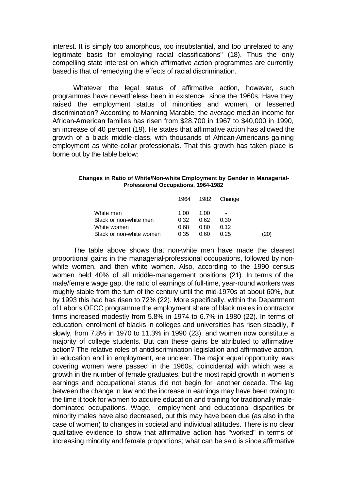interest. It is simply too amorphous, too insubstantial, and too unrelated to any legitimate basis for employing racial classifications" (18). Thus the only compelling state interest on which affirmative action programmes are currently based is that of remedying the effects of racial discrimination.

Whatever the legal status of affirmative action, however, such programmes have nevertheless been in existence since the 1960s. Have they raised the employment status of minorities and women, or lessened discrimination? According to Manning Marable, the average median income for African-American families has risen from \$28,700 in 1967 to \$40,000 in 1990, an increase of 40 percent (19). He states that affirmative action has allowed the growth of a black middle-class, with thousands of African-Americans gaining employment as white-collar professionals. That this growth has taken place is borne out by the table below:

#### **Changes in Ratio of White/Non-white Employment by Gender in Managerial-Professional Occupations, 1964-1982**

|                          |      |      | 1964 1982 Change |      |
|--------------------------|------|------|------------------|------|
| White men                | 1.00 | 1.00 | -                |      |
| Black or non-white men   | 0.32 | 0.62 | 0.30             |      |
| White women              | 0.68 | 0.80 | 0.12             |      |
| Black or non-white women | 0.35 | 0 RO | O 25             | (20) |
|                          |      |      |                  |      |

The table above shows that non-white men have made the clearest proportional gains in the managerial-professional occupations, followed by nonwhite women, and then white women. Also, according to the 1990 census women held 40% of all middle-management positions (21). In terms of the male/female wage gap, the ratio of earnings of full-time, year-round workers was roughly stable from the turn of the century until the mid-1970s at about 60%, but by 1993 this had has risen to 72% (22). More specifically, within the Department of Labor's OFCC programme the employment share of black males in contractor firms increased modestly from 5.8% in 1974 to 6.7% in 1980 (22). In terms of education, enrolment of blacks in colleges and universities has risen steadily, if slowly, from 7.8% in 1970 to 11.3% in 1990 (23), and women now constitute a majority of college students. But can these gains be attributed to affirmative action? The relative roles of antidiscrimination legislation and affirmative action, in education and in employment, are unclear. The major equal opportunity laws covering women were passed in the 1960s, coincidental with which was a growth in the number of female graduates, but the most rapid growth in women's earnings and occupational status did not begin for another decade. The lag between the change in law and the increase in earnings may have been owing to the time it took for women to acquire education and training for traditionally maledominated occupations. Wage, employment and educational disparities for minority males have also decreased, but this may have been due (as also in the case of women) to changes in societal and individual attitudes. There is no clear qualitative evidence to show that affirmative action has "worked" in terms of increasing minority and female proportions; what can be said is since affirmative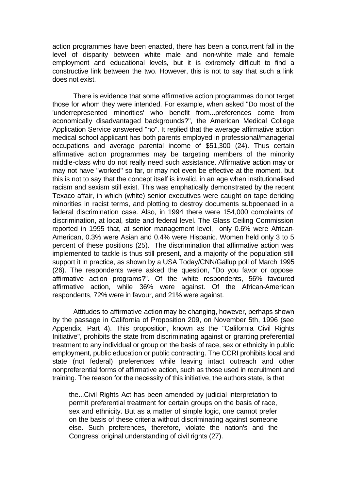action programmes have been enacted, there has been a concurrent fall in the level of disparity between white male and non-white male and female employment and educational levels, but it is extremely difficult to find a constructive link between the two. However, this is not to say that such a link does not exist.

There is evidence that some affirmative action programmes do not target those for whom they were intended. For example, when asked "Do most of the 'underrepresented minorities' who benefit from...preferences come from economically disadvantaged backgrounds?", the American Medical College Application Service answered "no". It replied that the average affirmative action medical school applicant has both parents employed in professional/managerial occupations and average parental income of \$51,300 (24). Thus certain affirmative action programmes may be targeting members of the minority middle-class who do not really need such assistance. Affirmative action may or may not have "worked" so far, or may not even be effective at the moment, but this is not to say that the concept itself is invalid, in an age when institutionalised racism and sexism still exist. This was emphatically demonstrated by the recent Texaco affair, in which (white) senior executives were caught on tape deriding minorities in racist terms, and plotting to destroy documents subpoenaed in a federal discrimination case. Also, in 1994 there were 154,000 complaints of discrimination, at local, state and federal level. The Glass Ceiling Commission reported in 1995 that, at senior management level, only 0.6% were African-American, 0.3% were Asian and 0.4% were Hispanic. Women held only 3 to 5 percent of these positions (25). The discrimination that affirmative action was implemented to tackle is thus still present, and a majority of the population still support it in practice, as shown by a USA Today/CNN/Gallup poll of March 1995 (26). The respondents were asked the question, "Do you favor or oppose affirmative action programs?". Of the white respondents, 56% favoured affirmative action, while 36% were against. Of the African-American respondents, 72% were in favour, and 21% were against.

Attitudes to affirmative action may be changing, however, perhaps shown by the passage in California of Proposition 209, on November 5th, 1996 (see Appendix, Part 4). This proposition, known as the "California Civil Rights Initiative", prohibits the state from discriminating against or granting preferential treatment to any individual or group on the basis of race, sex or ethnicity in public employment, public education or public contracting. The CCRI prohibits local and state (not federal) preferences while leaving intact outreach and other nonpreferential forms of affirmative action, such as those used in recruitment and training. The reason for the necessity of this initiative, the authors state, is that

the...Civil Rights Act has been amended by judicial interpretation to permit preferential treatment for certain groups on the basis of race, sex and ethnicity. But as a matter of simple logic, one cannot prefer on the basis of these criteria without discriminating against someone else. Such preferences, therefore, violate the nation's and the Congress' original understanding of civil rights (27).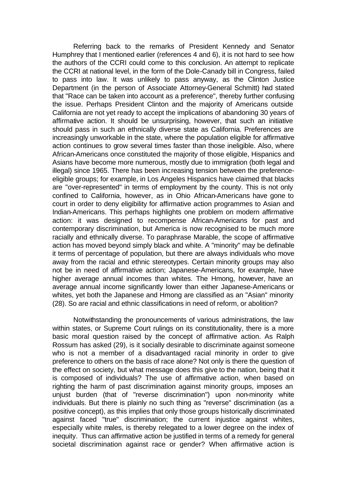Referring back to the remarks of President Kennedy and Senator Humphrey that I mentioned earlier (references 4 and 6), it is not hard to see how the authors of the CCRI could come to this conclusion. An attempt to replicate the CCRI at national level, in the form of the Dole-Canady bill in Congress, failed to pass into law. It was unlikely to pass anyway, as the Clinton Justice Department (in the person of Associate Attorney-General Schmitt) had stated that "Race can be taken into account as a preference", thereby further confusing the issue. Perhaps President Clinton and the majority of Americans outside California are not yet ready to accept the implications of abandoning 30 years of affirmative action. It should be unsurprising, however, that such an initiative should pass in such an ethnically diverse state as California. Preferences are increasingly unworkable in the state, where the population eligible for affirmative action continues to grow several times faster than those ineligible. Also, where African-Americans once constituted the majority of those eligible, Hispanics and Asians have become more numerous, mostly due to immigration (both legal and illegal) since 1965. There has been increasing tension between the preferenceeligible groups; for example, in Los Angeles Hispanics have claimed that blacks are "over-represented" in terms of employment by the county. This is not only confined to California, however, as in Ohio African-Americans have gone to court in order to deny eligibility for affirmative action programmes to Asian and Indian-Americans. This perhaps highlights one problem on modern affirmative action: it was designed to recompense African-Americans for past and contemporary discrimination, but America is now recognised to be much more racially and ethnically diverse. To paraphrase Marable, the scope of affirmative action has moved beyond simply black and white. A "minority" may be definable it terms of percentage of population, but there are always individuals who move away from the racial and ethnic stereotypes. Certain minority groups may also not be in need of affirmative action; Japanese-Americans, for example, have higher average annual incomes than whites. The Hmong, however, have an average annual income significantly lower than either Japanese-Americans or whites, yet both the Japanese and Hmong are classified as an "Asian" minority (28). So are racial and ethnic classifications in need of reform, or abolition?

Notwithstanding the pronouncements of various administrations, the law within states, or Supreme Court rulings on its constitutionality, there is a more basic moral question raised by the concept of affirmative action. As Ralph Rossum has asked (29), is it socially desirable to discriminate against someone who is not a member of a disadvantaged racial minority in order to give preference to others on the basis of race alone? Not only is there the question of the effect on society, but what message does this give to the nation, being that it is composed of individuals? The use of affirmative action, when based on righting the harm of past discrimination against minority groups, imposes an unjust burden (that of "reverse discrimination") upon non-minority white individuals. But there is plainly no such thing as "reverse" discrimination (as a positive concept), as this implies that only those groups historically discriminated against faced "true" discrimination; the current injustice against whites, especially white males, is thereby relegated to a lower degree on the index of inequity. Thus can affirmative action be justified in terms of a remedy for general societal discrimination against race or gender? When affirmative action is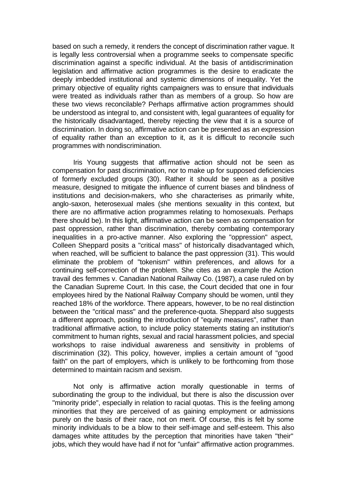based on such a remedy, it renders the concept of discrimination rather vague. It is legally less controversial when a programme seeks to compensate specific discrimination against a specific individual. At the basis of antidiscrimination legislation and affirmative action programmes is the desire to eradicate the deeply imbedded institutional and systemic dimensions of inequality. Yet the primary objective of equality rights campaigners was to ensure that individuals were treated as individuals rather than as members of a group. So how are these two views reconcilable? Perhaps affirmative action programmes should be understood as integral to, and consistent with, legal guarantees of equality for the historically disadvantaged, thereby rejecting the view that it is a source of discrimination. In doing so, affirmative action can be presented as an expression of equality rather than an exception to it, as it is difficult to reconcile such programmes with nondiscrimination.

Iris Young suggests that affirmative action should not be seen as compensation for past discrimination, nor to make up for supposed deficiencies of formerly excluded groups (30). Rather it should be seen as a positive measure, designed to mitigate the influence of current biases and blindness of institutions and decision-makers, who she characterises as primarily white, anglo-saxon, heterosexual males (she mentions sexuality in this context, but there are no affirmative action programmes relating to homosexuals. Perhaps there should be). In this light, affirmative action can be seen as compensation for past oppression, rather than discrimination, thereby combating contemporary inequalities in a pro-active manner. Also exploring the "oppression" aspect, Colleen Sheppard posits a "critical mass" of historically disadvantaged which, when reached, will be sufficient to balance the past oppression (31). This would eliminate the problem of "tokenism" within preferences, and allows for a continuing self-correction of the problem. She cites as an example the Action travail des femmes v. Canadian National Railway Co. (1987), a case ruled on by the Canadian Supreme Court. In this case, the Court decided that one in four employees hired by the National Railway Company should be women, until they reached 18% of the workforce. There appears, however, to be no real distinction between the "critical mass" and the preference-quota. Sheppard also suggests a different approach, positing the introduction of "equity measures", rather than traditional affirmative action, to include policy statements stating an institution's commitment to human rights, sexual and racial harassment policies, and special workshops to raise individual awareness and sensitivity in problems of discrimination (32). This policy, however, implies a certain amount of "good faith" on the part of employers, which is unlikely to be forthcoming from those determined to maintain racism and sexism.

Not only is affirmative action morally questionable in terms of subordinating the group to the individual, but there is also the discussion over "minority pride", especially in relation to racial quotas. This is the feeling among minorities that they are perceived of as gaining employment or admissions purely on the basis of their race, not on merit. Of course, this is felt by some minority individuals to be a blow to their self-image and self-esteem. This also damages white attitudes by the perception that minorities have taken "their" jobs, which they would have had if not for "unfair" affirmative action programmes.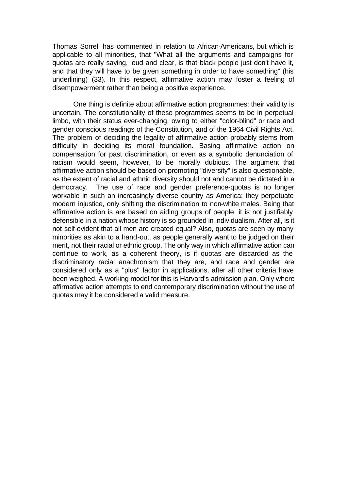Thomas Sorrell has commented in relation to African-Americans, but which is applicable to all minorities, that "What all the arguments and campaigns for quotas are really saying, loud and clear, is that black people just don't have it, and that they will have to be given something in order to have something" (his underlining) (33). In this respect, affirmative action may foster a feeling of disempowerment rather than being a positive experience.

One thing is definite about affirmative action programmes: their validity is uncertain. The constitutionality of these programmes seems to be in perpetual limbo, with their status ever-changing, owing to either "color-blind" or race and gender conscious readings of the Constitution, and of the 1964 Civil Rights Act. The problem of deciding the legality of affirmative action probably stems from difficulty in deciding its moral foundation. Basing affirmative action on compensation for past discrimination, or even as a symbolic denunciation of racism would seem, however, to be morally dubious. The argument that affirmative action should be based on promoting "diversity" is also questionable, as the extent of racial and ethnic diversity should not and cannot be dictated in a democracy. The use of race and gender preference-quotas is no longer workable in such an increasingly diverse country as America; they perpetuate modern injustice, only shifting the discrimination to non-white males. Being that affirmative action is are based on aiding groups of people, it is not justifiably defensible in a nation whose history is so grounded in individualism. After all, is it not self-evident that all men are created equal? Also, quotas are seen by many minorities as akin to a hand-out, as people generally want to be judged on their merit, not their racial or ethnic group. The only way in which affirmative action can continue to work, as a coherent theory, is if quotas are discarded as the discriminatory racial anachronism that they are, and race and gender are considered only as a "plus" factor in applications, after all other criteria have been weighed. A working model for this is Harvard's admission plan. Only where affirmative action attempts to end contemporary discrimination without the use of quotas may it be considered a valid measure.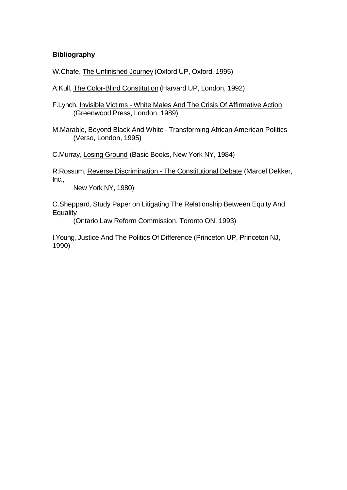# **Bibliography**

W.Chafe, The Unfinished Journey (Oxford UP, Oxford, 1995)

A.Kull, The Color-Blind Constitution (Harvard UP, London, 1992)

F.Lynch, Invisible Victims - White Males And The Crisis Of Affirmative Action (Greenwood Press, London, 1989)

M.Marable, Beyond Black And White - Transforming African-American Politics (Verso, London, 1995)

C.Murray, Losing Ground (Basic Books, New York NY, 1984)

R.Rossum, Reverse Discrimination - The Constitutional Debate (Marcel Dekker, Inc.,

New York NY, 1980)

C.Sheppard, Study Paper on Litigating The Relationship Between Equity And **Equality** 

(Ontario Law Reform Commission, Toronto ON, 1993)

I.Young, Justice And The Politics Of Difference (Princeton UP, Princeton NJ, 1990)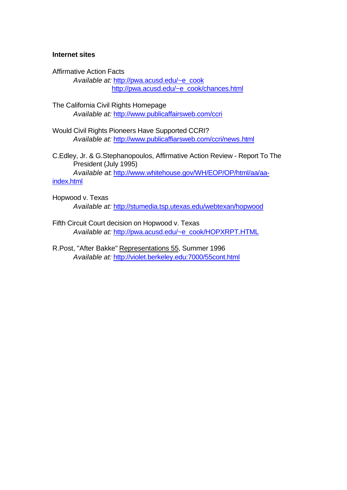## **Internet sites**

Affirmative Action Facts *Available at:* http://pwa.acusd.edu/~e\_cook http://pwa.acusd.edu/~e\_cook/chances.html

- The California Civil Rights Homepage *Available at:* http://www.publicaffairsweb.com/ccri
- Would Civil Rights Pioneers Have Supported CCRI? *Available at:* http://www.publicaffiarsweb.com/ccri/news.html
- C.Edley, Jr. & G.Stephanopoulos, Affirmative Action Review Report To The President (July 1995) *Available at*: http://www.whitehouse.gov/WH/EOP/OP/html/aa/aa-

## index.html

- Hopwood v. Texas *Available at:* http://stumedia.tsp.utexas.edu/webtexan/hopwood
- Fifth Circuit Court decision on Hopwood v. Texas *Available at:* http://pwa.acusd.edu/~e\_cook/HOPXRPT.HTML
- R.Post, "After Bakke" Representations 55, Summer 1996 *Available at:* http://violet.berkeley.edu:7000/55cont.html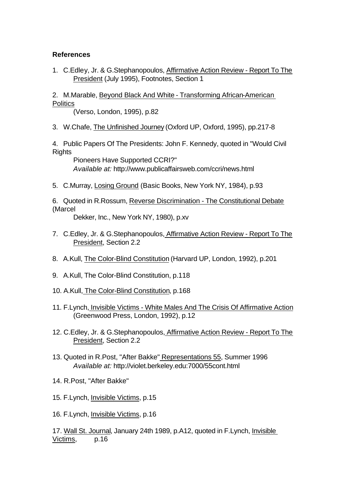# **References**

1. C.Edley, Jr. & G.Stephanopoulos, Affirmative Action Review - Report To The President (July 1995), Footnotes, Section 1

2. M.Marable, Beyond Black And White - Transforming African-American **Politics** 

(Verso, London, 1995), p.82

3. W.Chafe, The Unfinished Journey (Oxford UP, Oxford, 1995), pp.217-8

4. Public Papers Of The Presidents: John F. Kennedy, quoted in "Would Civil **Rights** 

Pioneers Have Supported CCRI?" *Available at:* http://www.publicaffairsweb.com/ccri/news.html

5. C.Murray, Losing Ground (Basic Books, New York NY, 1984), p.93

6. Quoted in R.Rossum, Reverse Discrimination - The Constitutional Debate (Marcel

Dekker, Inc., New York NY, 1980), p.xv

- 7. C.Edley, Jr. & G.Stephanopoulos, Affirmative Action Review Report To The President, Section 2.2
- 8. A.Kull, The Color-Blind Constitution (Harvard UP, London, 1992), p.201
- 9. A.Kull, The Color-Blind Constitution, p.118
- 10. A.Kull, The Color-Blind Constitution, p.168
- 11. F.Lynch, Invisible Victims White Males And The Crisis Of Affirmative Action (Greenwood Press, London, 1992), p.12
- 12. C.Edley, Jr. & G.Stephanopoulos, Affirmative Action Review Report To The President, Section 2.2
- 13. Quoted in R.Post, "After Bakke" Representations 55, Summer 1996 *Available at:* http://violet.berkeley.edu:7000/55cont.html
- 14. R.Post, "After Bakke"
- 15. F.Lynch, Invisible Victims, p.15
- 16. F.Lynch, Invisible Victims, p.16

17. Wall St. Journal, January 24th 1989, p.A12, quoted in F.Lynch, Invisible Victims, p.16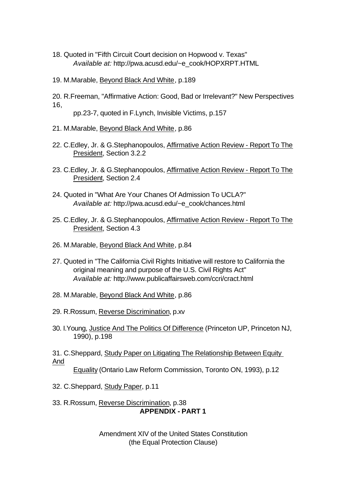- 18. Quoted in "Fifth Circuit Court decision on Hopwood v. Texas" *Available at:* http://pwa.acusd.edu/~e\_cook/HOPXRPT.HTML
- 19. M.Marable, Beyond Black And White, p.189

20. R.Freeman, "Affirmative Action: Good, Bad or Irrelevant?" New Perspectives 16,

pp.23-7, quoted in F.Lynch, Invisible Victims, p.157

- 21. M.Marable, Beyond Black And White, p.86
- 22. C.Edley, Jr. & G.Stephanopoulos, Affirmative Action Review Report To The President, Section 3.2.2
- 23. C.Edley, Jr. & G.Stephanopoulos, Affirmative Action Review Report To The President, Section 2.4
- 24. Quoted in "What Are Your Chanes Of Admission To UCLA?" *Available at:* http://pwa.acusd.edu/~e\_cook/chances.html
- 25. C.Edley, Jr. & G.Stephanopoulos, Affirmative Action Review Report To The President, Section 4.3
- 26. M.Marable, Beyond Black And White, p.84
- 27. Quoted in "The California Civil Rights Initiative will restore to California the original meaning and purpose of the U.S. Civil Rights Act" *Available at:* http://www.publicaffairsweb.com/ccri/cract.html
- 28. M.Marable, Beyond Black And White, p.86
- 29. R.Rossum, Reverse Discrimination, p.xv
- 30. I.Young, Justice And The Politics Of Difference (Princeton UP, Princeton NJ, 1990), p.198
- 31. C.Sheppard, Study Paper on Litigating The Relationship Between Equity And

Equality (Ontario Law Reform Commission, Toronto ON, 1993), p.12

32. C.Sheppard, Study Paper, p.11

33. R.Rossum, Reverse Discrimination, p.38 **APPENDIX - PART 1**

> Amendment XIV of the United States Constitution (the Equal Protection Clause)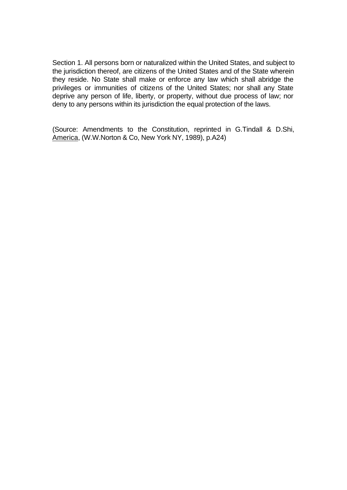Section 1. All persons born or naturalized within the United States, and subject to the jurisdiction thereof, are citizens of the United States and of the State wherein they reside. No State shall make or enforce any law which shall abridge the privileges or immunities of citizens of the United States; nor shall any State deprive any person of life, liberty, or property, without due process of law; nor deny to any persons within its jurisdiction the equal protection of the laws.

(Source: Amendments to the Constitution, reprinted in G.Tindall & D.Shi, America, (W.W.Norton & Co, New York NY, 1989), p.A24)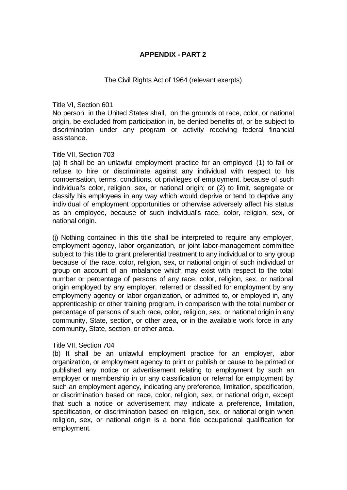# **APPENDIX - PART 2**

#### The Civil Rights Act of 1964 (relevant exerpts)

Title VI, Section 601

No person in the United States shall, on the grounds ot race, color, or national origin, be excluded from participation in, be denied benefits of, or be subject to discrimination under any program or activity receiving federal financial assistance.

### Title VII, Section 703

(a) It shall be an unlawful employment practice for an employed (1) to fail or refuse to hire or discriminate against any individual with respect to his compensation, terms, conditions, ot privileges of employment, because of such individual's color, religion, sex, or national origin; or (2) to limit, segregate or classify his employees in any way which would deprive or tend to deprive any individual of employment opportunities or otherwise adversely affect his status as an employee, because of such individual's race, color, religion, sex, or national origin.

(j) Nothing contained in this title shall be interpreted to require any employer, employment agency, labor organization, or joint labor-management committee subject to this title to grant preferential treatment to any individual or to any group because of the race, color, religion, sex, or national origin of such individual or group on account of an imbalance which may exist with respect to the total number or percentage of persons of any race, color, religion, sex, or national origin employed by any employer, referred or classified for employment by any employmeny agency or labor organization, or admitted to, or employed in, any apprenticeship or other training program, in comparison with the total number or percentage of persons of such race, color, religion, sex, or national origin in any community, State, section, or other area, or in the available work force in any community, State, section, or other area.

# Title VII, Section 704

(b) It shall be an unlawful employment practice for an employer, labor organization, or employment agency to print or publish or cause to be printed or published any notice or advertisement relating to employment by such an employer or membership in or any classification or referral for employment by such an employment agency, indicating any preference, limitation, specification, or discrimination based on race, color, religion, sex, or national origin, except that such a notice or advertisement may indicate a preference, limitation, specification, or discrimination based on religion, sex, or national origin when religion, sex, or national origin is a bona fide occupational qualification for employment.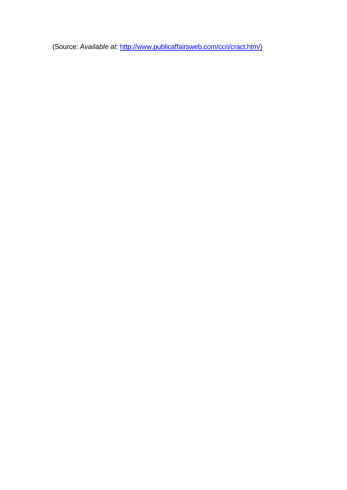(Source: *Available at:* http://www.publicaffairsweb.com/ccri/cract.htm/)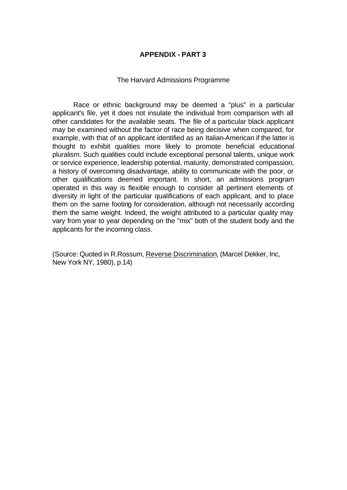# **APPENDIX - PART 3**

#### The Harvard Admissions Programme

Race or ethnic background may be deemed a "plus" in a particular applicant's file, yet it does not insulate the individual from comparison with all other candidates for the available seats. The file of a particular black applicant may be examined without the factor of race being decisive when compared, for example, with that of an applicant identified as an Italian-American if the latter is thought to exhibit qualities more likely to promote beneficial educational pluralism. Such qualities could include exceptional personal talents, unique work or service experience, leadership potential, maturity, demonstrated compassion, a history of overcoming disadvantage, ability to communicate with the poor, or other qualifications deemed important. In short, an admissions program operated in this way is flexible enough to consider all pertinent elements of diversity in light of the particular qualifications of each applicant, and to place them on the same footing for consideration, although not necessarily according them the same weight. Indeed, the weight attributed to a particular quality may vary from year to year depending on the "mix" both of the student body and the applicants for the incoming class.

(Source: Quoted in R.Rossum, Reverse Discrimination, (Marcel Dekker, Inc, New York NY, 1980), p.14)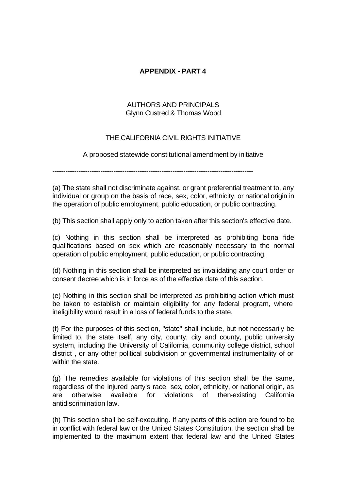# **APPENDIX - PART 4**

# AUTHORS AND PRINCIPALS Glynn Custred & Thomas Wood

# THE CALIFORNIA CIVIL RIGHTS INITIATIVE

A proposed statewide constitutional amendment by initiative

--------------------------------------------------------------------------------------------

(a) The state shall not discriminate against, or grant preferential treatment to, any individual or group on the basis of race, sex, color, ethnicity, or national origin in the operation of public employment, public education, or public contracting.

(b) This section shall apply only to action taken after this section's effective date.

(c) Nothing in this section shall be interpreted as prohibiting bona fide qualifications based on sex which are reasonably necessary to the normal operation of public employment, public education, or public contracting.

(d) Nothing in this section shall be interpreted as invalidating any court order or consent decree which is in force as of the effective date of this section.

(e) Nothing in this section shall be interpreted as prohibiting action which must be taken to establish or maintain eligibility for any federal program, where ineligibility would result in a loss of federal funds to the state.

(f) For the purposes of this section, "state" shall include, but not necessarily be limited to, the state itself, any city, county, city and county, public university system, including the University of California, community college district, school district , or any other political subdivision or governmental instrumentality of or within the state.

(g) The remedies available for violations of this section shall be the same, regardless of the injured party's race, sex, color, ethnicity, or national origin, as are otherwise available for violations of then-existing California antidiscrimination law.

(h) This section shall be self-executing. If any parts of this ection are found to be in conflict with federal law or the United States Constitution, the section shall be implemented to the maximum extent that federal law and the United States